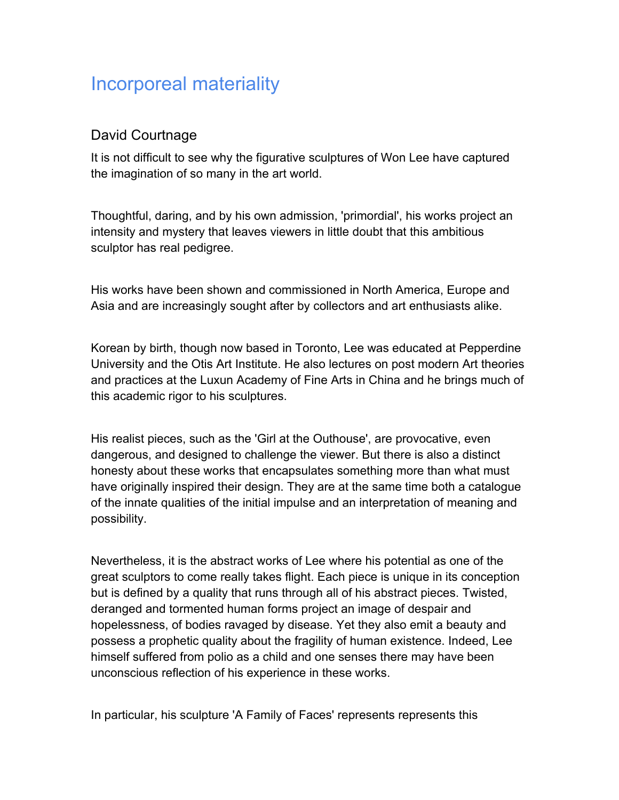## Incorporeal materiality

## David Courtnage

It is not difficult to see why the figurative sculptures of Won Lee have captured the imagination of so many in the art world.

Thoughtful, daring, and by his own admission, 'primordial', his works project an intensity and mystery that leaves viewers in little doubt that this ambitious sculptor has real pedigree.

His works have been shown and commissioned in North America, Europe and Asia and are increasingly sought after by collectors and art enthusiasts alike.

Korean by birth, though now based in Toronto, Lee was educated at Pepperdine University and the Otis Art Institute. He also lectures on post modern Art theories and practices at the Luxun Academy of Fine Arts in China and he brings much of this academic rigor to his sculptures.

His realist pieces, such as the 'Girl at the Outhouse', are provocative, even dangerous, and designed to challenge the viewer. But there is also a distinct honesty about these works that encapsulates something more than what must have originally inspired their design. They are at the same time both a catalogue of the innate qualities of the initial impulse and an interpretation of meaning and possibility.

Nevertheless, it is the abstract works of Lee where his potential as one of the great sculptors to come really takes flight. Each piece is unique in its conception but is defined by a quality that runs through all of his abstract pieces. Twisted, deranged and tormented human forms project an image of despair and hopelessness, of bodies ravaged by disease. Yet they also emit a beauty and possess a prophetic quality about the fragility of human existence. Indeed, Lee himself suffered from polio as a child and one senses there may have been unconscious reflection of his experience in these works.

In particular, his sculpture 'A Family of Faces' represents represents this